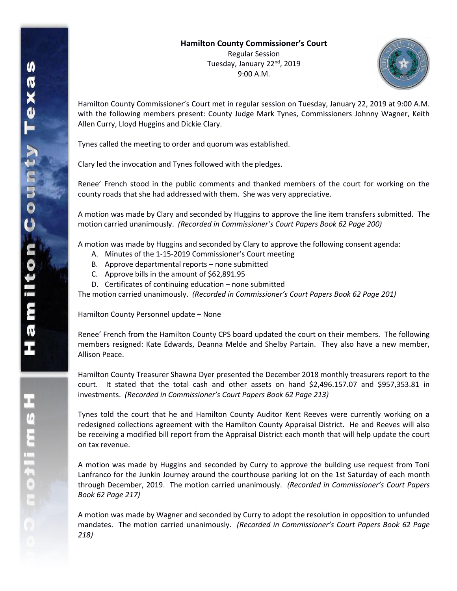

Hamilton County Commissioner's Court met in regular session on Tuesday, January 22, 2019 at 9:00 A.M. with the following members present: County Judge Mark Tynes, Commissioners Johnny Wagner, Keith Allen Curry, Lloyd Huggins and Dickie Clary.

Tynes called the meeting to order and quorum was established.

Clary led the invocation and Tynes followed with the pledges.

Renee' French stood in the public comments and thanked members of the court for working on the county roads that she had addressed with them. She was very appreciative.

A motion was made by Clary and seconded by Huggins to approve the line item transfers submitted. The motion carried unanimously. *(Recorded in Commissioner's Court Papers Book 62 Page 200)*

A motion was made by Huggins and seconded by Clary to approve the following consent agenda:

- A. Minutes of the 1-15-2019 Commissioner's Court meeting
- B. Approve departmental reports none submitted
- C. Approve bills in the amount of \$62,891.95
- D. Certificates of continuing education none submitted

The motion carried unanimously. *(Recorded in Commissioner's Court Papers Book 62 Page 201)*

Hamilton County Personnel update – None

Renee' French from the Hamilton County CPS board updated the court on their members. The following members resigned: Kate Edwards, Deanna Melde and Shelby Partain. They also have a new member, Allison Peace.

Hamilton County Treasurer Shawna Dyer presented the December 2018 monthly treasurers report to the court. It stated that the total cash and other assets on hand \$2,496.157.07 and \$957,353.81 in investments. *(Recorded in Commissioner's Court Papers Book 62 Page 213)*

Tynes told the court that he and Hamilton County Auditor Kent Reeves were currently working on a redesigned collections agreement with the Hamilton County Appraisal District. He and Reeves will also be receiving a modified bill report from the Appraisal District each month that will help update the court on tax revenue.

A motion was made by Huggins and seconded by Curry to approve the building use request from Toni Lanfranco for the Junkin Journey around the courthouse parking lot on the 1st Saturday of each month through December, 2019. The motion carried unanimously. *(Recorded in Commissioner's Court Papers Book 62 Page 217)*

A motion was made by Wagner and seconded by Curry to adopt the resolution in opposition to unfunded mandates. The motion carried unanimously. *(Recorded in Commissioner's Court Papers Book 62 Page 218)*

**INELES**